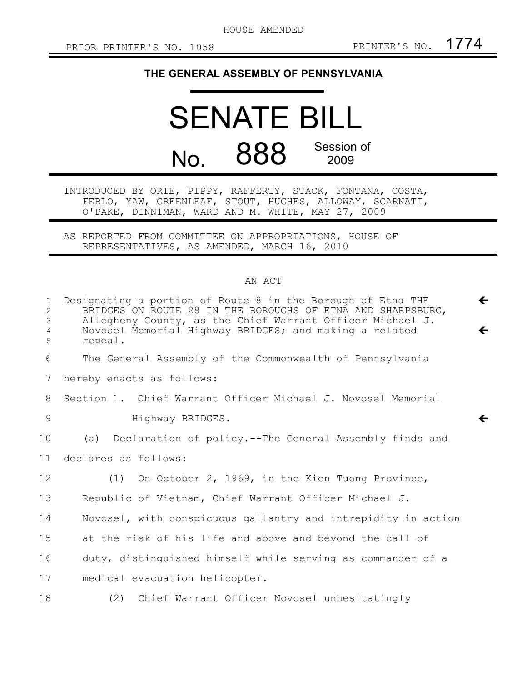HOUSE AMENDED

 $\leftarrow$ 

 $\leftarrow$ 

 $\leftarrow$ 

## **THE GENERAL ASSEMBLY OF PENNSYLVANIA**

## SENATE BILL No. 888 Session of 2009

INTRODUCED BY ORIE, PIPPY, RAFFERTY, STACK, FONTANA, COSTA, FERLO, YAW, GREENLEAF, STOUT, HUGHES, ALLOWAY, SCARNATI, O'PAKE, DINNIMAN, WARD AND M. WHITE, MAY 27, 2009

AS REPORTED FROM COMMITTEE ON APPROPRIATIONS, HOUSE OF REPRESENTATIVES, AS AMENDED, MARCH 16, 2010

## AN ACT

| $\mathbf{1}$<br>2<br>3<br>4<br>5 | Designating a portion of Route 8 in the Borough of Etna THE<br>BRIDGES ON ROUTE 28 IN THE BOROUGHS OF ETNA AND SHARPSBURG,<br>Allegheny County, as the Chief Warrant Officer Michael J.<br>Novosel Memorial Highway BRIDGES; and making a related<br>repeal. |
|----------------------------------|--------------------------------------------------------------------------------------------------------------------------------------------------------------------------------------------------------------------------------------------------------------|
| 6                                | The General Assembly of the Commonwealth of Pennsylvania                                                                                                                                                                                                     |
| 7                                | hereby enacts as follows:                                                                                                                                                                                                                                    |
| 8                                | Section 1. Chief Warrant Officer Michael J. Novosel Memorial                                                                                                                                                                                                 |
| 9                                | Highway BRIDGES.                                                                                                                                                                                                                                             |
| 10                               | (a) Declaration of policy.--The General Assembly finds and                                                                                                                                                                                                   |
| 11                               | declares as follows:                                                                                                                                                                                                                                         |
| 12                               | (1) On October 2, 1969, in the Kien Tuong Province,                                                                                                                                                                                                          |
| 13                               | Republic of Vietnam, Chief Warrant Officer Michael J.                                                                                                                                                                                                        |
| 14                               | Novosel, with conspicuous gallantry and intrepidity in action                                                                                                                                                                                                |
| 15                               | at the risk of his life and above and beyond the call of                                                                                                                                                                                                     |
| 16                               | duty, distinguished himself while serving as commander of a                                                                                                                                                                                                  |
| 17                               | medical evacuation helicopter.                                                                                                                                                                                                                               |
| 18                               | (2) Chief Warrant Officer Novosel unhesitatingly                                                                                                                                                                                                             |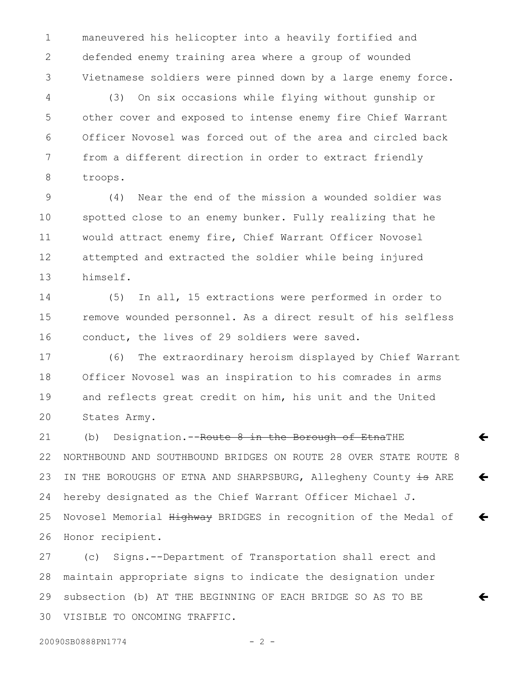maneuvered his helicopter into a heavily fortified and defended enemy training area where a group of wounded Vietnamese soldiers were pinned down by a large enemy force. 1 2 3

(3) On six occasions while flying without gunship or other cover and exposed to intense enemy fire Chief Warrant Officer Novosel was forced out of the area and circled back from a different direction in order to extract friendly troops. 4 5 6 7 8

(4) Near the end of the mission a wounded soldier was spotted close to an enemy bunker. Fully realizing that he would attract enemy fire, Chief Warrant Officer Novosel attempted and extracted the soldier while being injured himself. 9 10 11 12 13

(5) In all, 15 extractions were performed in order to remove wounded personnel. As a direct result of his selfless conduct, the lives of 29 soldiers were saved. 14 15 16

(6) The extraordinary heroism displayed by Chief Warrant Officer Novosel was an inspiration to his comrades in arms and reflects great credit on him, his unit and the United States Army. 17 18 19 20

(b) Designation.--Route 8 in the Borough of EtnaTHE NORTHBOUND AND SOUTHBOUND BRIDGES ON ROUTE 28 OVER STATE ROUTE 8 IN THE BOROUGHS OF ETNA AND SHARPSBURG, Allegheny County is ARE hereby designated as the Chief Warrant Officer Michael J. Novosel Memorial Highway BRIDGES in recognition of the Medal of Honor recipient.  $\leftarrow$  $\leftarrow$  $\leftarrow$ 21 22 23 24 25 26

(c) Signs.--Department of Transportation shall erect and maintain appropriate signs to indicate the designation under subsection (b) AT THE BEGINNING OF EACH BRIDGE SO AS TO BE VISIBLE TO ONCOMING TRAFFIC. 27 28 29 30

ç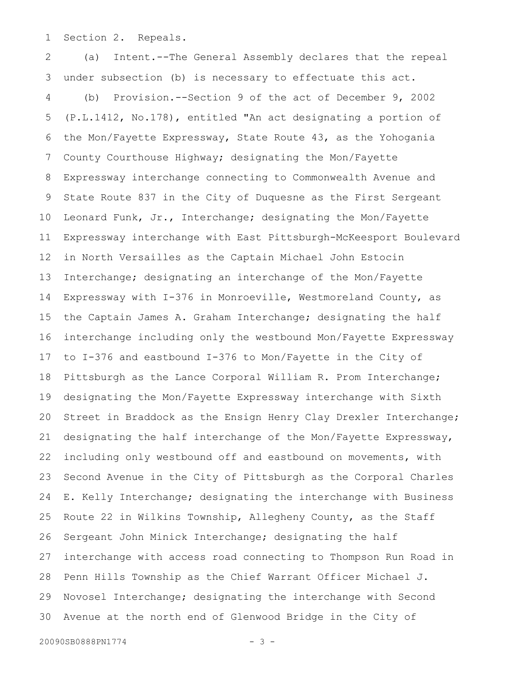Section 2. Repeals. 1

(a) Intent.--The General Assembly declares that the repeal under subsection (b) is necessary to effectuate this act. (b) Provision.--Section 9 of the act of December 9, 2002 (P.L.1412, No.178), entitled "An act designating a portion of the Mon/Fayette Expressway, State Route 43, as the Yohogania County Courthouse Highway; designating the Mon/Fayette Expressway interchange connecting to Commonwealth Avenue and State Route 837 in the City of Duquesne as the First Sergeant Leonard Funk, Jr., Interchange; designating the Mon/Fayette Expressway interchange with East Pittsburgh-McKeesport Boulevard in North Versailles as the Captain Michael John Estocin Interchange; designating an interchange of the Mon/Fayette Expressway with I-376 in Monroeville, Westmoreland County, as the Captain James A. Graham Interchange; designating the half interchange including only the westbound Mon/Fayette Expressway to I-376 and eastbound I-376 to Mon/Fayette in the City of Pittsburgh as the Lance Corporal William R. Prom Interchange; designating the Mon/Fayette Expressway interchange with Sixth Street in Braddock as the Ensign Henry Clay Drexler Interchange; designating the half interchange of the Mon/Fayette Expressway, including only westbound off and eastbound on movements, with Second Avenue in the City of Pittsburgh as the Corporal Charles E. Kelly Interchange; designating the interchange with Business Route 22 in Wilkins Township, Allegheny County, as the Staff Sergeant John Minick Interchange; designating the half interchange with access road connecting to Thompson Run Road in Penn Hills Township as the Chief Warrant Officer Michael J. Novosel Interchange; designating the interchange with Second Avenue at the north end of Glenwood Bridge in the City of 2 3 4 5 6 7 8 9 10 11 12 13 14 15 16 17 18 19 20 21 22 23 24 25 26 27 28 29 30

20090SB0888PN1774 - 3 -